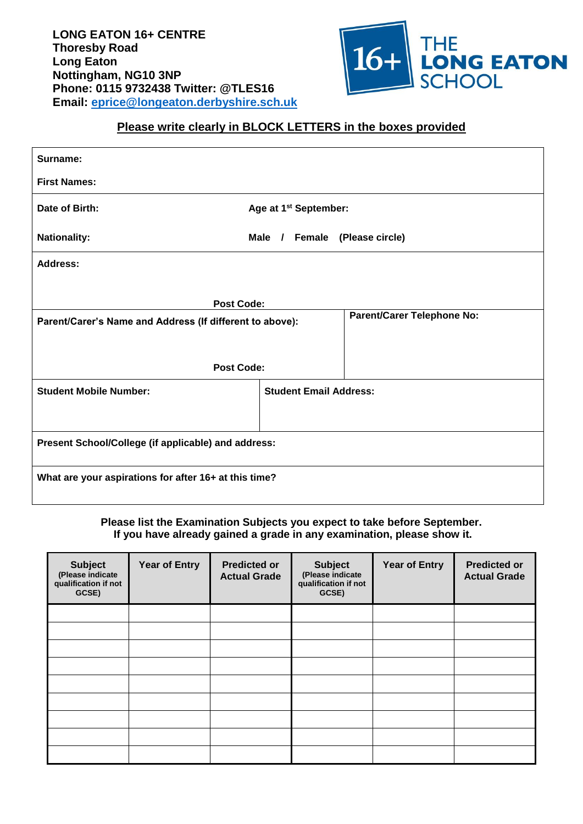

## **Please write clearly in BLOCK LETTERS in the boxes provided**

| Surname:                                                 |                                   |  |  |  |
|----------------------------------------------------------|-----------------------------------|--|--|--|
| <b>First Names:</b>                                      |                                   |  |  |  |
| Date of Birth:                                           | Age at 1 <sup>st</sup> September: |  |  |  |
| <b>Nationality:</b>                                      | Male / Female (Please circle)     |  |  |  |
| Address:                                                 |                                   |  |  |  |
| <b>Post Code:</b>                                        |                                   |  |  |  |
| Parent/Carer's Name and Address (If different to above): | <b>Parent/Carer Telephone No:</b> |  |  |  |
|                                                          |                                   |  |  |  |
| <b>Post Code:</b>                                        |                                   |  |  |  |
| <b>Student Mobile Number:</b>                            | <b>Student Email Address:</b>     |  |  |  |
|                                                          |                                   |  |  |  |
| Present School/College (if applicable) and address:      |                                   |  |  |  |
| What are your aspirations for after 16+ at this time?    |                                   |  |  |  |

## **Please list the Examination Subjects you expect to take before September. If you have already gained a grade in any examination, please show it.**

| <b>Subject</b><br>(Please indicate<br>qualification if not<br>GCSE) | <b>Year of Entry</b> | <b>Predicted or</b><br><b>Actual Grade</b> | <b>Subject</b><br>(Please indicate<br>qualification if not<br>GCSE) | <b>Year of Entry</b> | <b>Predicted or</b><br><b>Actual Grade</b> |
|---------------------------------------------------------------------|----------------------|--------------------------------------------|---------------------------------------------------------------------|----------------------|--------------------------------------------|
|                                                                     |                      |                                            |                                                                     |                      |                                            |
|                                                                     |                      |                                            |                                                                     |                      |                                            |
|                                                                     |                      |                                            |                                                                     |                      |                                            |
|                                                                     |                      |                                            |                                                                     |                      |                                            |
|                                                                     |                      |                                            |                                                                     |                      |                                            |
|                                                                     |                      |                                            |                                                                     |                      |                                            |
|                                                                     |                      |                                            |                                                                     |                      |                                            |
|                                                                     |                      |                                            |                                                                     |                      |                                            |
|                                                                     |                      |                                            |                                                                     |                      |                                            |